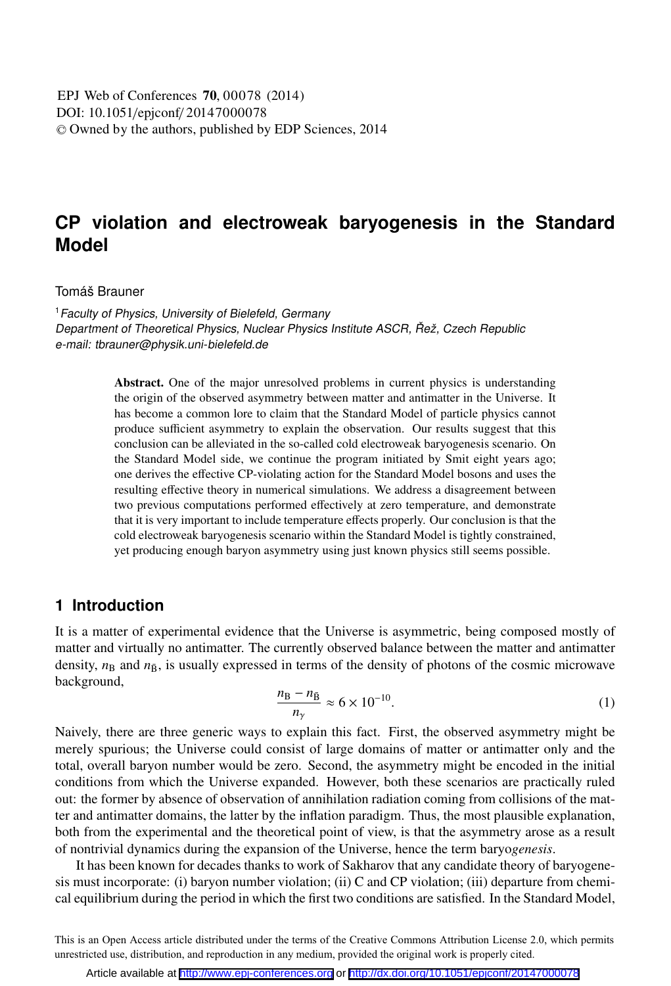# **CP violation and electroweak baryogenesis in the Standard Model**

#### Tomáš Brauner

<sup>1</sup> Faculty of Physics, University of Bielefeld, Germany Department of Theoretical Physics, Nuclear Physics Institute ASCR, Řež, Czech Republic e-mail: tbrauner@physik.uni-bielefeld.de

> Abstract. One of the major unresolved problems in current physics is understanding the origin of the observed asymmetry between matter and antimatter in the Universe. It has become a common lore to claim that the Standard Model of particle physics cannot produce sufficient asymmetry to explain the observation. Our results suggest that this conclusion can be alleviated in the so-called cold electroweak baryogenesis scenario. On the Standard Model side, we continue the program initiated by Smit eight years ago; one derives the effective CP-violating action for the Standard Model bosons and uses the resulting effective theory in numerical simulations. We address a disagreement between two previous computations performed effectively at zero temperature, and demonstrate that it is very important to include temperature effects properly. Our conclusion is that the cold electroweak baryogenesis scenario within the Standard Model is tightly constrained, yet producing enough baryon asymmetry using just known physics still seems possible.

## **1 Introduction**

It is a matter of experimental evidence that the Universe is asymmetric, being composed mostly of matter and virtually no antimatter. The currently observed balance between the matter and antimatter density,  $n<sub>B</sub>$  and  $n<sub>B</sub>$ , is usually expressed in terms of the density of photons of the cosmic microwave  $background,$ 

$$
\frac{n_{\rm B} - n_{\rm \bar{B}}}{n_{\gamma}} \approx 6 \times 10^{-10}.\tag{1}
$$

Naively, there are three generic ways to explain this fact. First, the observed asymmetry might be merely spurious; the Universe could consist of large domains of matter or antimatter only and the total, overall baryon number would be zero. Second, the asymmetry might be encoded in the initial conditions from which the Universe expanded. However, both these scenarios are practically ruled out: the former by absence of observation of annihilation radiation coming from collisions of the matter and antimatter domains, the latter by the inflation paradigm. Thus, the most plausible explanation, both from the experimental and the theoretical point of view, is that the asymmetry arose as a result of nontrivial dynamics during the expansion of the Universe, hence the term baryo*genesis*.

It has been known for decades thanks to work of Sakharov that any candidate theory of baryogenesis must incorporate: (i) baryon number violation; (ii) C and CP violation; (iii) departure from chemical equilibrium during the period in which the first two conditions are satisfied. In the Standard Model,

This is an Open Access article distributed under the terms of the Creative Commons Attribution License 2.0, which permits unrestricted use, distribution, and reproduction in any medium, provided the original work is properly cited.

Article available at <http://www.epj-conferences.org> or <http://dx.doi.org/10.1051/epjconf/20147000078>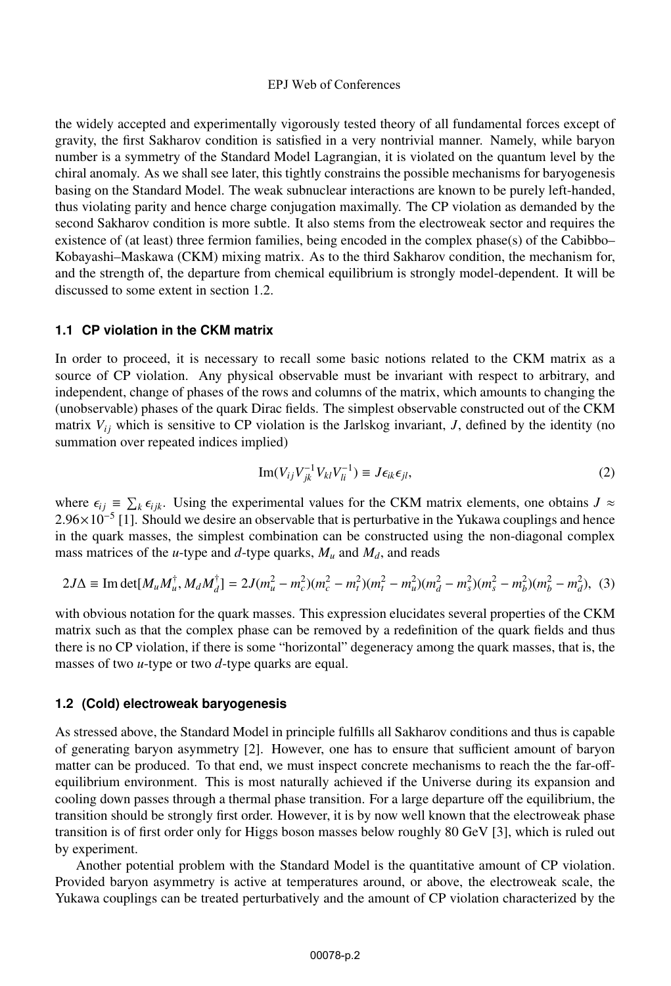the widely accepted and experimentally vigorously tested theory of all fundamental forces except of gravity, the first Sakharov condition is satisfied in a very nontrivial manner. Namely, while baryon number is a symmetry of the Standard Model Lagrangian, it is violated on the quantum level by the chiral anomaly. As we shall see later, this tightly constrains the possible mechanisms for baryogenesis basing on the Standard Model. The weak subnuclear interactions are known to be purely left-handed, thus violating parity and hence charge conjugation maximally. The CP violation as demanded by the second Sakharov condition is more subtle. It also stems from the electroweak sector and requires the existence of (at least) three fermion families, being encoded in the complex phase(s) of the Cabibbo– Kobayashi–Maskawa (CKM) mixing matrix. As to the third Sakharov condition, the mechanism for, and the strength of, the departure from chemical equilibrium is strongly model-dependent. It will be discussed to some extent in section 1.2.

### **1.1 CP violation in the CKM matrix**

In order to proceed, it is necessary to recall some basic notions related to the CKM matrix as a source of CP violation. Any physical observable must be invariant with respect to arbitrary, and independent, change of phases of the rows and columns of the matrix, which amounts to changing the (unobservable) phases of the quark Dirac fields. The simplest observable constructed out of the CKM matrix  $V_{ij}$  which is sensitive to CP violation is the Jarlskog invariant, *J*, defined by the identity (no summation over repeated indices implied)

$$
\operatorname{Im}(V_{ij}V_{jk}^{-1}V_{kl}V_{li}^{-1}) \equiv J\epsilon_{ik}\epsilon_{jl},\tag{2}
$$

where  $\epsilon_{ij} \equiv \sum_k \epsilon_{ijk}$ . Using the experimental values for the CKM matrix elements, one obtains *J* ≈ 2.96×10<sup>-5</sup> [1]. Should we desire an observable that is perturbative in the Yukawa couplings and hence  $2.96\times10^{-5}$  [1]. Should we desire an observable that is perturbative in the Yukawa couplings and hence in the quark masses, the simplest combination can be constructed using the non-diagonal complex mass matrices of the *u*-type and *d*-type quarks,  $M_u$  and  $M_d$ , and reads

$$
2J\Delta \equiv \text{Im det}[M_u M_u^{\dagger}, M_d M_d^{\dagger}] = 2J(m_u^2 - m_c^2)(m_c^2 - m_t^2)(m_t^2 - m_u^2)(m_d^2 - m_s^2)(m_s^2 - m_b^2)(m_b^2 - m_d^2), \tag{3}
$$

with obvious notation for the quark masses. This expression elucidates several properties of the CKM matrix such as that the complex phase can be removed by a redefinition of the quark fields and thus there is no CP violation, if there is some "horizontal" degeneracy among the quark masses, that is, the masses of two *u*-type or two *d*-type quarks are equal.

## **1.2 (Cold) electroweak baryogenesis**

As stressed above, the Standard Model in principle fulfills all Sakharov conditions and thus is capable of generating baryon asymmetry [2]. However, one has to ensure that sufficient amount of baryon matter can be produced. To that end, we must inspect concrete mechanisms to reach the the far-offequilibrium environment. This is most naturally achieved if the Universe during its expansion and cooling down passes through a thermal phase transition. For a large departure off the equilibrium, the transition should be strongly first order. However, it is by now well known that the electroweak phase transition is of first order only for Higgs boson masses below roughly 80 GeV [3], which is ruled out by experiment.

Another potential problem with the Standard Model is the quantitative amount of CP violation. Provided baryon asymmetry is active at temperatures around, or above, the electroweak scale, the Yukawa couplings can be treated perturbatively and the amount of CP violation characterized by the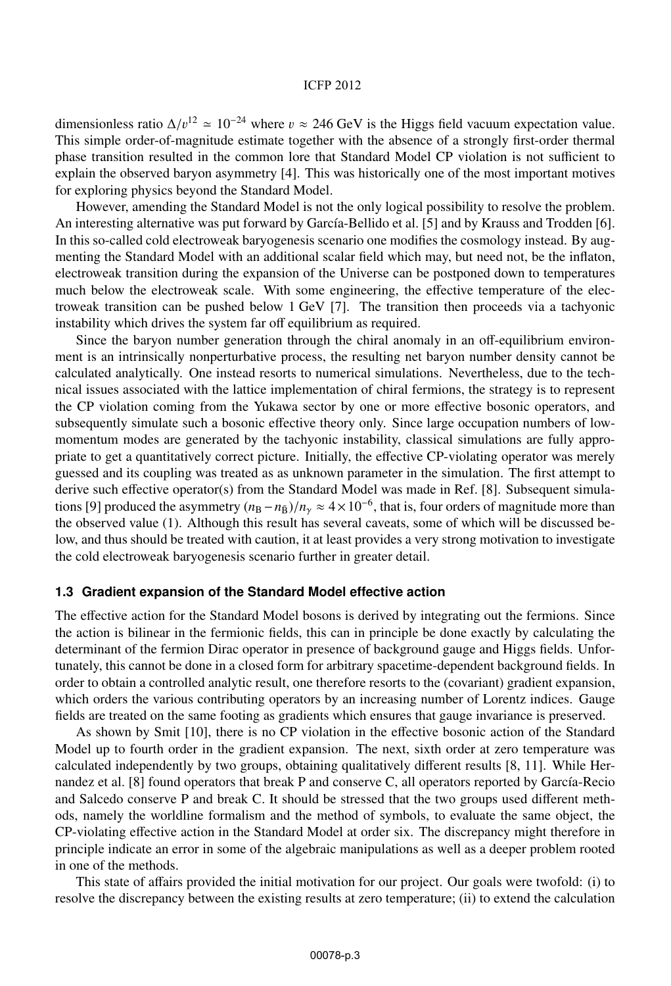#### ICFP 2012

dimensionless ratio  $\Delta/v^{12} \approx 10^{-24}$  where  $v \approx 246$  GeV is the Higgs field vacuum expectation value. This simple order-of-magnitude estimate together with the absence of a strongly first-order thermal phase transition resulted in the common lore that Standard Model CP violation is not sufficient to explain the observed baryon asymmetry [4]. This was historically one of the most important motives for exploring physics beyond the Standard Model.

However, amending the Standard Model is not the only logical possibility to resolve the problem. An interesting alternative was put forward by García-Bellido et al. [5] and by Krauss and Trodden [6]. In this so-called cold electroweak baryogenesis scenario one modifies the cosmology instead. By augmenting the Standard Model with an additional scalar field which may, but need not, be the inflaton, electroweak transition during the expansion of the Universe can be postponed down to temperatures much below the electroweak scale. With some engineering, the effective temperature of the electroweak transition can be pushed below 1 GeV [7]. The transition then proceeds via a tachyonic instability which drives the system far off equilibrium as required.

Since the baryon number generation through the chiral anomaly in an off-equilibrium environment is an intrinsically nonperturbative process, the resulting net baryon number density cannot be calculated analytically. One instead resorts to numerical simulations. Nevertheless, due to the technical issues associated with the lattice implementation of chiral fermions, the strategy is to represent the CP violation coming from the Yukawa sector by one or more effective bosonic operators, and subsequently simulate such a bosonic effective theory only. Since large occupation numbers of lowmomentum modes are generated by the tachyonic instability, classical simulations are fully appropriate to get a quantitatively correct picture. Initially, the effective CP-violating operator was merely guessed and its coupling was treated as as unknown parameter in the simulation. The first attempt to derive such effective operator(s) from the Standard Model was made in Ref. [8]. Subsequent simulations [9] produced the asymmetry  $(n_B - n_{\bar{B}})/n_y \approx 4 \times 10^{-6}$ , that is, four orders of magnitude more than the observed value (1). Although this result has several caveats, some of which will be discussed below, and thus should be treated with caution, it at least provides a very strong motivation to investigate the cold electroweak baryogenesis scenario further in greater detail.

#### **1.3 Gradient expansion of the Standard Model effective action**

The effective action for the Standard Model bosons is derived by integrating out the fermions. Since the action is bilinear in the fermionic fields, this can in principle be done exactly by calculating the determinant of the fermion Dirac operator in presence of background gauge and Higgs fields. Unfortunately, this cannot be done in a closed form for arbitrary spacetime-dependent background fields. In order to obtain a controlled analytic result, one therefore resorts to the (covariant) gradient expansion, which orders the various contributing operators by an increasing number of Lorentz indices. Gauge fields are treated on the same footing as gradients which ensures that gauge invariance is preserved.

As shown by Smit [10], there is no CP violation in the effective bosonic action of the Standard Model up to fourth order in the gradient expansion. The next, sixth order at zero temperature was calculated independently by two groups, obtaining qualitatively different results [8, 11]. While Hernandez et al. [8] found operators that break P and conserve C, all operators reported by García-Recio and Salcedo conserve P and break C. It should be stressed that the two groups used different methods, namely the worldline formalism and the method of symbols, to evaluate the same object, the CP-violating effective action in the Standard Model at order six. The discrepancy might therefore in principle indicate an error in some of the algebraic manipulations as well as a deeper problem rooted in one of the methods.

This state of affairs provided the initial motivation for our project. Our goals were twofold: (i) to resolve the discrepancy between the existing results at zero temperature; (ii) to extend the calculation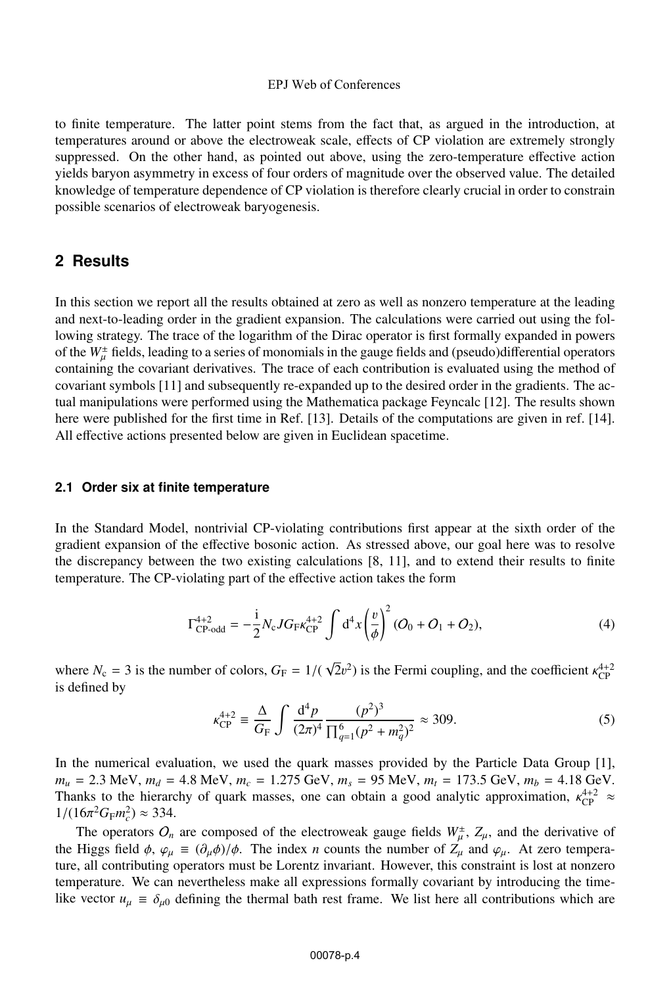to finite temperature. The latter point stems from the fact that, as argued in the introduction, at temperatures around or above the electroweak scale, effects of CP violation are extremely strongly suppressed. On the other hand, as pointed out above, using the zero-temperature effective action yields baryon asymmetry in excess of four orders of magnitude over the observed value. The detailed knowledge of temperature dependence of CP violation is therefore clearly crucial in order to constrain possible scenarios of electroweak baryogenesis.

## **2 Results**

In this section we report all the results obtained at zero as well as nonzero temperature at the leading and next-to-leading order in the gradient expansion. The calculations were carried out using the following strategy. The trace of the logarithm of the Dirac operator is first formally expanded in powers of the  $W^{\pm}_{\mu}$  fields, leading to a series of monomials in the gauge fields and (pseudo)differential operators containing the covariant derivatives. The trace of each contribution is evaluated using the method of containing the covariant derivatives. The trace of each contribution is evaluated using the method of covariant symbols [11] and subsequently re-expanded up to the desired order in the gradients. The actual manipulations were performed using the Mathematica package Feyncalc [12]. The results shown here were published for the first time in Ref. [13]. Details of the computations are given in ref. [14]. All effective actions presented below are given in Euclidean spacetime.

#### **2.1 Order six at finite temperature**

In the Standard Model, nontrivial CP-violating contributions first appear at the sixth order of the gradient expansion of the effective bosonic action. As stressed above, our goal here was to resolve the discrepancy between the two existing calculations [8, 11], and to extend their results to finite temperature. The CP-violating part of the effective action takes the form

$$
\Gamma_{\rm CP-odd}^{4+2} = -\frac{i}{2} N_c J G_{\rm F} \kappa_{\rm CP}^{4+2} \int d^4 x \left(\frac{v}{\phi}\right)^2 (O_0 + O_1 + O_2),\tag{4}
$$

where  $N_c = 3$  is the number of colors,  $G_F = 1/(\sqrt{2}v^2)$  is the Fermi coupling, and the coefficient  $\kappa_{\rm CP}^{4+2}$ is defined by

$$
\kappa_{\rm CP}^{4+2} \equiv \frac{\Delta}{G_{\rm F}} \int \frac{\mathrm{d}^4 p}{(2\pi)^4} \frac{(p^2)^3}{\prod_{q=1}^6 (p^2 + m_q^2)^2} \approx 309. \tag{5}
$$

In the numerical evaluation, we used the quark masses provided by the Particle Data Group [1],  $m_u = 2.3$  MeV,  $m_d = 4.8$  MeV,  $m_c = 1.275$  GeV,  $m_s = 95$  MeV,  $m_t = 173.5$  GeV,  $m_b = 4.18$  GeV. Thanks to the hierarchy of quark masses, one can obtain a good analytic approximation,  $\kappa_{\rm CP}^{4+2} \approx 1/(16\pi^2 G_{\rm CP} m^2) \approx 334$  $1/(16\pi^2 G_F m_c^2) \approx 334.$ <br>The execution O

The operators  $O_n$  are composed of the electroweak gauge fields  $W^{\pm}_{\mu}$ ,  $Z_{\mu}$ , and the derivative of Higgs field  $A_{\mu}$  or  $= (3, 4)/4$ . The index *n* counts the number of  $Z$ , and  $\omega$ . At zero tempera the Higgs field  $\phi$ ,  $\varphi_{\mu} \equiv (\partial_{\mu} \phi)/\phi$ . The index *n* counts the number of  $Z_{\mu}$  and  $\varphi_{\mu}$ . At zero temperature, all contributing operators must be Lorentz invariant. However, this constraint is lost at nonzero temperature. We can nevertheless make all expressions formally covariant by introducing the timelike vector  $u_{\mu} \equiv \delta_{\mu 0}$  defining the thermal bath rest frame. We list here all contributions which are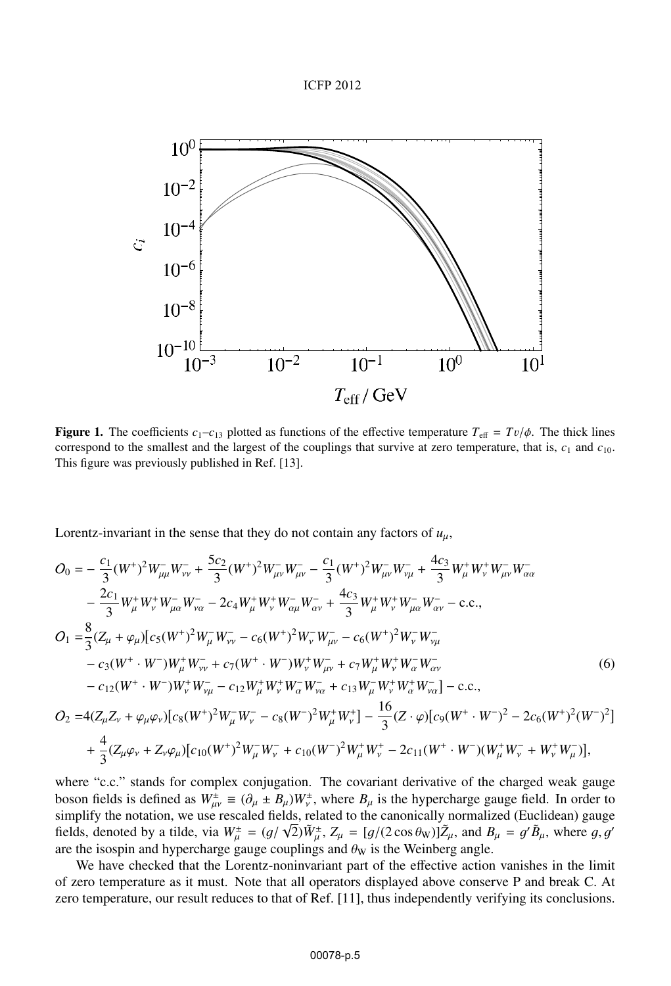#### ICFP 2012



**Figure 1.** The coefficients  $c_1 - c_1$  plotted as functions of the effective temperature  $T_{\text{eff}} = Tv/\phi$ . The thick lines correspond to the smallest and the largest of the couplings that survive at zero temperature, that is, *c*<sup>1</sup> and *c*10. This figure was previously published in Ref. [13].

Lorentz-invariant in the sense that they do not contain any factors of  $u_{\mu}$ ,

$$
O_{0} = -\frac{c_{1}}{3}(W^{+})^{2}W_{\mu\mu}^{-}W_{\nu\nu}^{-} + \frac{5c_{2}}{3}(W^{+})^{2}W_{\mu\nu}^{-}W_{\mu\nu}^{-} - \frac{c_{1}}{3}(W^{+})^{2}W_{\mu\nu}^{-}W_{\nu\mu}^{-} + \frac{4c_{3}}{3}W_{\mu}^{+}W_{\nu}^{+}W_{\mu\nu}^{-}W_{\alpha\alpha}^{-}
$$
  
\n
$$
-\frac{2c_{1}}{3}W_{\mu}^{+}W_{\nu}^{+}W_{\mu\alpha}^{-}W_{\nu\alpha}^{-} - 2c_{4}W_{\mu}^{+}W_{\nu}^{+}W_{\alpha\mu}^{-}W_{\alpha\nu}^{-} + \frac{4c_{3}}{3}W_{\mu}^{+}W_{\nu}^{+}W_{\mu\alpha}^{-}W_{\alpha\nu}^{-} - \text{c.c.},
$$
  
\n
$$
O_{1} = \frac{8}{3}(Z_{\mu} + \varphi_{\mu})[c_{5}(W^{+})^{2}W_{\mu}^{-}W_{\nu\nu}^{-} - c_{6}(W^{+})^{2}W_{\nu}^{-}W_{\mu\nu}^{-} - c_{6}(W^{+})^{2}W_{\nu}^{-}W_{\nu\mu}^{-} - \text{c.c.},
$$
  
\n
$$
-c_{3}(W^{+} \cdot W^{-})W_{\mu}^{+}W_{\nu\nu}^{-} + c_{7}(W^{+} \cdot W^{-})W_{\nu}^{+}W_{\mu\nu}^{-} + c_{7}W_{\mu}^{+}W_{\nu}^{+}W_{\alpha}^{-}W_{\alpha\nu}^{-} - \text{c.c.},
$$
  
\n
$$
O_{2} = 4(Z_{\mu}Z_{\nu} + \varphi_{\mu}\varphi_{\nu})[c_{8}(W^{+})^{2}W_{\mu}^{-}W_{\nu}^{-} - c_{8}(W^{-})^{2}W_{\mu}^{+}W_{\nu}^{+}] - \frac{16}{3}(Z \cdot \varphi)[c_{9}(W^{+} \cdot W^{-})^{2} - 2c_{6}(W^{+})^{2}(W^{-})^{2}]
$$
  
\n
$$
+ \frac{4}{3}(Z_{\mu}\varphi_{\nu} + Z_{\nu}\varphi_{\mu})[c_{10}(W^{+
$$

where "c.c." stands for complex conjugation. The covariant derivative of the charged weak gauge boson fields is defined as  $W_{\mu\nu}^{\pm} \equiv (\partial_{\mu} \pm B_{\mu})W_{\nu}^{\pm}$ , where  $B_{\mu}$  is the hypercharge gauge field. In order to simplify the notation, we use rescaled fields, related to the canonically normalized (Euclidean) fields, denoted by a tilde, via  $W^{\pm}_{\mu} = (g/\sqrt{2})\tilde{W}^{\pm}_{\mu}$ ,  $Z_{\mu} = [g/(2 \cos \theta_{\rm W})]\tilde{Z}_{\mu}$ , and  $B_{\mu} = g' \tilde{B}_{\mu}$ , where g, g'<br>are the isospin and hypercharge gauge couplings and  $\theta_{\rm W}$  is the Weinberg angle are the isospin and hypercharge gauge couplings and  $\theta_W$  is the Weinberg angle.

We have checked that the Lorentz-noninvariant part of the effective action vanishes in the limit of zero temperature as it must. Note that all operators displayed above conserve P and break C. At zero temperature, our result reduces to that of Ref. [11], thus independently verifying its conclusions.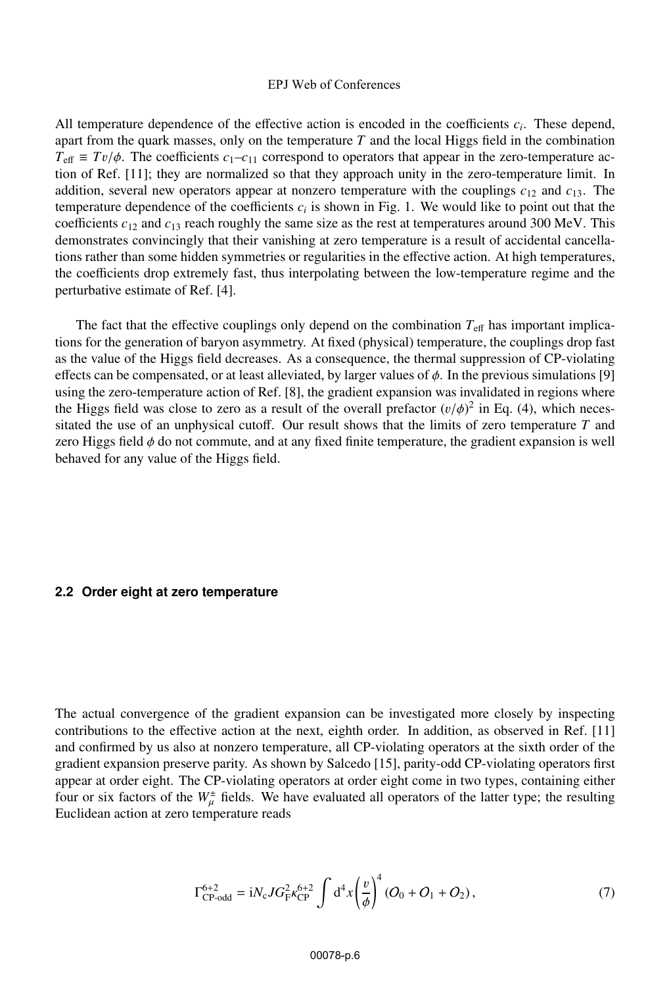All temperature dependence of the effective action is encoded in the coefficients *ci*. These depend, apart from the quark masses, only on the temperature *T* and the local Higgs field in the combination  $T_{\text{eff}} \equiv Tv/\phi$ . The coefficients  $c_1 - c_{11}$  correspond to operators that appear in the zero-temperature action of Ref. [11]; they are normalized so that they approach unity in the zero-temperature limit. In addition, several new operators appear at nonzero temperature with the couplings  $c_{12}$  and  $c_{13}$ . The temperature dependence of the coefficients  $c_i$  is shown in Fig. 1. We would like to point out that the coefficients *c*<sup>12</sup> and *c*<sup>13</sup> reach roughly the same size as the rest at temperatures around 300 MeV. This demonstrates convincingly that their vanishing at zero temperature is a result of accidental cancellations rather than some hidden symmetries or regularities in the effective action. At high temperatures, the coefficients drop extremely fast, thus interpolating between the low-temperature regime and the perturbative estimate of Ref. [4].

The fact that the effective couplings only depend on the combination  $T_{\text{eff}}$  has important implications for the generation of baryon asymmetry. At fixed (physical) temperature, the couplings drop fast as the value of the Higgs field decreases. As a consequence, the thermal suppression of CP-violating effects can be compensated, or at least alleviated, by larger values of  $\phi$ . In the previous simulations [9] using the zero-temperature action of Ref. [8], the gradient expansion was invalidated in regions where the Higgs field was close to zero as a result of the overall prefactor  $(v/\phi)^2$  in Eq. (4), which neces-<br>sitated the use of an unphysical cutoff. Our result shows that the limits of zero temperature T and sitated the use of an unphysical cutoff. Our result shows that the limits of zero temperature *T* and zero Higgs field  $\phi$  do not commute, and at any fixed finite temperature, the gradient expansion is well behaved for any value of the Higgs field.

#### **2.2 Order eight at zero temperature**

The actual convergence of the gradient expansion can be investigated more closely by inspecting contributions to the effective action at the next, eighth order. In addition, as observed in Ref. [11] and confirmed by us also at nonzero temperature, all CP-violating operators at the sixth order of the gradient expansion preserve parity. As shown by Salcedo [15], parity-odd CP-violating operators first appear at order eight. The CP-violating operators at order eight come in two types, containing either four or six factors of the  $W^{\pm}_{\mu}$  fields. We have evaluated all operators of the latter type; the resulting<br>Euclidean action at zero temperature reads Euclidean action at zero temperature reads

$$
\Gamma_{\rm CP-odd}^{6+2} = iN_{\rm c} J G_{\rm F}^2 \kappa_{\rm CP}^{6+2} \int d^4x \left(\frac{v}{\phi}\right)^4 (O_0 + O_1 + O_2),\tag{7}
$$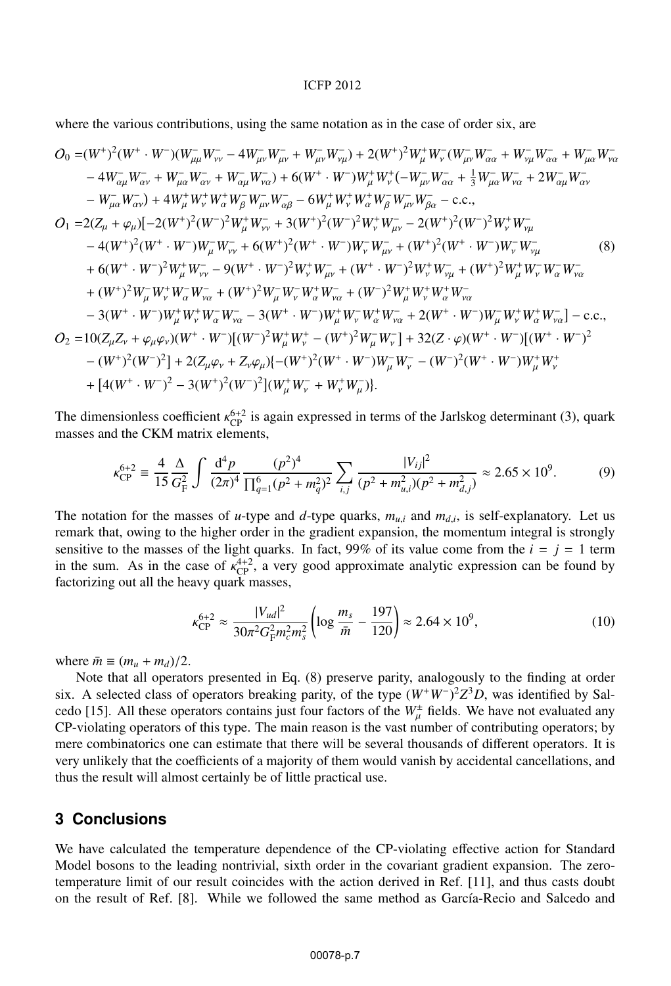#### ICFP 2012

where the various contributions, using the same notation as in the case of order six, are

$$
O_{0} = (W^{+})^{2} (W^{+} \cdot W^{-}) (W^{-}_{\mu\mu} W^{-}_{\nu\nu} - 4W^{-}_{\mu\nu} W^{-}_{\mu\nu} + W^{-}_{\mu\nu} W^{-}_{\nu\mu}) + 2(W^{+})^{2} W^{+}_{\mu} W^{-}_{\nu} W^{-}_{\alpha\alpha} + W^{-}_{\nu\mu} W^{-}_{\alpha\alpha} + W^{-}_{\mu\alpha} W^{-}_{\alpha\alpha} + W^{-}_{\mu\alpha} W^{-}_{\alpha\alpha} + W^{-}_{\mu\alpha} W^{-}_{\alpha\alpha} + W^{-}_{\mu\alpha} W^{-}_{\alpha\alpha} + W^{-}_{\mu\alpha} W^{-}_{\alpha\alpha} + W^{-}_{\mu\alpha} W^{-}_{\alpha\alpha} + W^{-}_{\mu\alpha} W^{-}_{\alpha\alpha} + W^{-}_{\mu\alpha} W^{-}_{\alpha\alpha} + W^{-}_{\mu\alpha} W^{-}_{\alpha\alpha} + W^{-}_{\mu\alpha} W^{-}_{\alpha\alpha} + W^{-}_{\mu\alpha} W^{-}_{\alpha\alpha} + W^{-}_{\mu\alpha} W^{-}_{\alpha\alpha} + W^{-}_{\mu\alpha} W^{-}_{\alpha\alpha} + W^{-}_{\mu\alpha} W^{-}_{\alpha\alpha} + W^{-}_{\mu\alpha} W^{-}_{\alpha\alpha} + W^{-}_{\mu\alpha} W^{-}_{\alpha\alpha} + W^{-}_{\mu\alpha} W^{-}_{\alpha\alpha} + W^{-}_{\mu\alpha} W^{-}_{\alpha\alpha} + W^{-}_{\mu\alpha} W^{-}_{\alpha\alpha} + W^{-}_{\mu\alpha} W^{-}_{\alpha\alpha} + W^{-}_{\mu\alpha} W^{-}_{\alpha\alpha} + W^{-}_{\mu\alpha} W^{-}_{\mu\alpha} + W^{+}_{\mu\alpha} W^{-}_{\mu\alpha} W^{-}_{\mu\alpha} + W^{-}_{\mu\alpha} W^{-}_{\mu\alpha} + W^{-}_{\mu\alpha} W^{-}_{\mu\alpha} + W^{-}_{\mu\alpha} W^{-}_{\nu\alpha} + W^{-}_{\mu\alpha} W^{-}_{\nu\alpha} + W^{-}_{\mu\alpha} W^{-}_{\nu\alpha} + W^{-}_{\mu\alpha} W^{-}_{\nu\alpha} + W^{-}_{\mu\alpha} W^{-}_{\nu\alpha} + W^{-}_{\mu\alpha} W^{-}_{\nu\alpha} + W^{-}_{\mu\alpha} W^{-}_{\nu\alpha} + W^{-}_{\mu\alpha} W^{-}_{\nu\alpha} + W^{-}_{\mu\alpha} W^{-}_{\nu\alpha} + W^{-}_{\mu\alpha} W^{-}_{\nu\alpha} + W^{-}_{\mu\alpha} W^{-}_{\nu\alpha} + W^{-}_{\mu\alpha} W^{-}_{\nu
$$

The dimensionless coefficient  $\kappa_{\text{CP}}^{6+2}$  is again expressed in terms of the Jarlskog determinant (3), quark masses and the CKM matrix elements masses and the CKM matrix elements,

$$
\kappa_{\rm CP}^{6+2} \equiv \frac{4}{15} \frac{\Delta}{G_{\rm F}^2} \int \frac{\mathrm{d}^4 p}{(2\pi)^4} \frac{(p^2)^4}{\prod_{q=1}^6 (p^2 + m_q^2)^2} \sum_{i,j} \frac{|V_{ij}|^2}{(p^2 + m_{u,i}^2)(p^2 + m_{d,j}^2)} \approx 2.65 \times 10^9. \tag{9}
$$

The notation for the masses of *u*-type and *d*-type quarks,  $m_{u,i}$  and  $m_{d,i}$ , is self-explanatory. Let us remark that, owing to the higher order in the gradient expansion, the momentum integral is strongly sensitive to the masses of the light quarks. In fact, 99% of its value come from the  $i = j = 1$  term in the sum. As in the case of  $\kappa_{\text{CP}}^{4+2}$ , a very good approximate analytic expression can be found by factorizing out all the heavy quark masses factorizing out all the heavy quark masses,

$$
\kappa_{\rm CP}^{6+2} \approx \frac{|V_{ud}|^2}{30\pi^2 G_{\rm F}^2 m_c^2 m_s^2} \left( \log \frac{m_s}{\bar{m}} - \frac{197}{120} \right) \approx 2.64 \times 10^9,
$$
\n(10)

where  $\bar{m} \equiv (m_u + m_d)/2$ .

Note that all operators presented in Eq. (8) preserve parity, analogously to the finding at order six. A selected class of operators breaking parity, of the type (*W*<sup>+</sup>*W*−) <sup>2</sup>*Z*<sup>3</sup>*D*, was identified by Salcedo [15]. All these operators contains just four factors of the  $W^{\pm}_{\mu}$  fields. We have not evaluated any<br>CP violating operators of this type. The main reason is the yest number of contributing operators; by CP-violating operators of this type. The main reason is the vast number of contributing operators; by mere combinatorics one can estimate that there will be several thousands of different operators. It is very unlikely that the coefficients of a majority of them would vanish by accidental cancellations, and thus the result will almost certainly be of little practical use.

# **3 Conclusions**

We have calculated the temperature dependence of the CP-violating effective action for Standard Model bosons to the leading nontrivial, sixth order in the covariant gradient expansion. The zerotemperature limit of our result coincides with the action derived in Ref. [11], and thus casts doubt on the result of Ref. [8]. While we followed the same method as García-Recio and Salcedo and